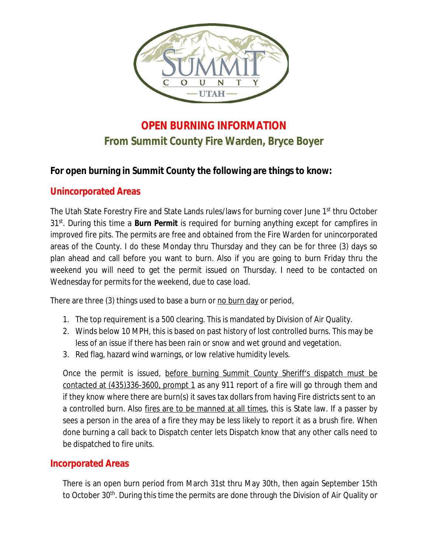

## **OPEN BURNING INFORMATION From Summit County Fire Warden, Bryce Boyer**

## **For open burning in Summit County the following are things to know:**

## **Unincorporated Areas**

The Utah State Forestry Fire and State Lands rules/laws for burning cover June 1<sup>st</sup> thru October 31st . During this time a **Burn Permit** is required for burning anything except for campfires in improved fire pits. The permits are free and obtained from the Fire Warden for unincorporated areas of the County. I do these Monday thru Thursday and they can be for three (3) days so plan ahead and call before you want to burn. Also if you are going to burn Friday thru the weekend you will need to get the permit issued on Thursday. I need to be contacted on Wednesday for permits for the weekend, due to case load.

There are three (3) things used to base a burn or no burn day or period,

- 1. The top requirement is a 500 clearing. This is mandated by Division of Air Quality.
- 2. Winds below 10 MPH, this is based on past history of lost controlled burns. This may be less of an issue if there has been rain or snow and wet ground and vegetation.
- 3. Red flag, hazard wind warnings, or low relative humidity levels.

Once the permit is issued, before burning Summit County Sheriff's dispatch must be contacted at (435)336-3600, prompt 1 as any 911 report of a fire will go through them and if they know where there are burn(s) it saves tax dollars from having Fire districts sent to an a controlled burn. Also fires are to be manned at all times, this is State law. If a passer by sees a person in the area of a fire they may be less likely to report it as a brush fire. When done burning a call back to Dispatch center lets Dispatch know that any other calls need to be dispatched to fire units.

## **Incorporated Areas**

There is an open burn period from March 31st thru May 30th, then again September 15th to October 30<sup>th</sup>. During this time the permits are done through the Division of Air Quality on